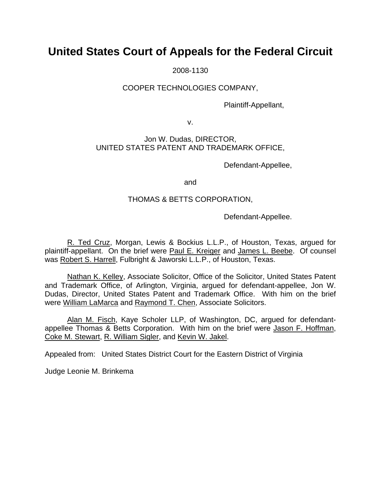# **United States Court of Appeals for the Federal Circuit**

2008-1130

# COOPER TECHNOLOGIES COMPANY,

Plaintiff-Appellant,

v.

## Jon W. Dudas, DIRECTOR, UNITED STATES PATENT AND TRADEMARK OFFICE,

Defendant-Appellee,

and

# THOMAS & BETTS CORPORATION,

Defendant-Appellee.

R. Ted Cruz, Morgan, Lewis & Bockius L.L.P., of Houston, Texas, argued for plaintiff-appellant. On the brief were Paul E. Kreiger and James L. Beebe. Of counsel was Robert S. Harrell, Fulbright & Jaworski L.L.P., of Houston, Texas.

Nathan K. Kelley, Associate Solicitor, Office of the Solicitor, United States Patent and Trademark Office, of Arlington, Virginia, argued for defendant-appellee, Jon W. Dudas, Director, United States Patent and Trademark Office. With him on the brief were William LaMarca and Raymond T. Chen, Associate Solicitors.

Alan M. Fisch, Kaye Scholer LLP, of Washington, DC, argued for defendantappellee Thomas & Betts Corporation. With him on the brief were Jason F. Hoffman, Coke M. Stewart, R. William Sigler, and Kevin W. Jakel.

Appealed from: United States District Court for the Eastern District of Virginia

Judge Leonie M. Brinkema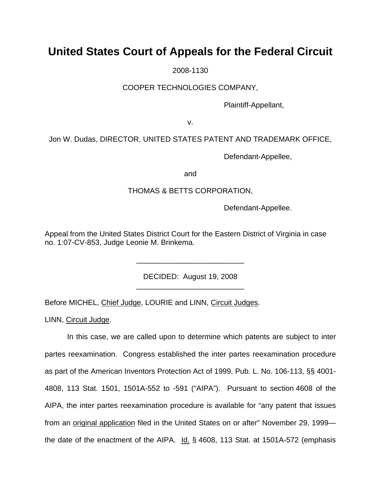# **United States Court of Appeals for the Federal Circuit**

2008-1130

## COOPER TECHNOLOGIES COMPANY,

Plaintiff-Appellant,

v.

# Jon W. Dudas, DIRECTOR, UNITED STATES PATENT AND TRADEMARK OFFICE,

Defendant-Appellee,

and

### THOMAS & BETTS CORPORATION,

Defendant-Appellee.

Appeal from the United States District Court for the Eastern District of Virginia in case no. 1:07-CV-853, Judge Leonie M. Brinkema.

> DECIDED: August 19, 2008 \_\_\_\_\_\_\_\_\_\_\_\_\_\_\_\_\_\_\_\_\_\_\_\_\_\_

> \_\_\_\_\_\_\_\_\_\_\_\_\_\_\_\_\_\_\_\_\_\_\_\_\_\_

Before MICHEL, Chief Judge, LOURIE and LINN, Circuit Judges.

LINN, Circuit Judge.

In this case, we are called upon to determine which patents are subject to inter partes reexamination. Congress established the inter partes reexamination procedure as part of the American Inventors Protection Act of 1999, Pub. L. No. 106-113, §§ 4001- 4808, 113 Stat. 1501, 1501A-552 to -591 ("AIPA"). Pursuant to section 4608 of the AIPA, the inter partes reexamination procedure is available for "any patent that issues from an original application filed in the United States on or after" November 29, 1999 the date of the enactment of the AIPA. Id. § 4608, 113 Stat. at 1501A-572 (emphasis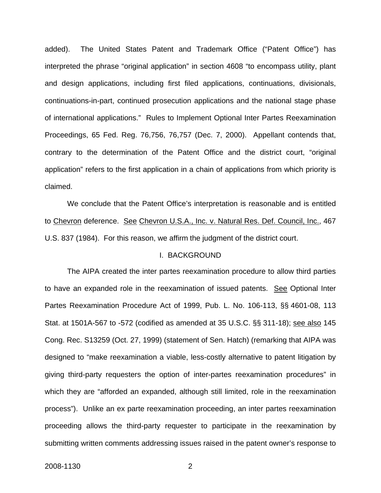added). The United States Patent and Trademark Office ("Patent Office") has interpreted the phrase "original application" in section 4608 "to encompass utility, plant and design applications, including first filed applications, continuations, divisionals, continuations-in-part, continued prosecution applications and the national stage phase of international applications." Rules to Implement Optional Inter Partes Reexamination Proceedings, 65 Fed. Reg. 76,756, 76,757 (Dec. 7, 2000). Appellant contends that, contrary to the determination of the Patent Office and the district court, "original application" refers to the first application in a chain of applications from which priority is claimed.

We conclude that the Patent Office's interpretation is reasonable and is entitled to Chevron deference. See Chevron U.S.A., Inc. v. Natural Res. Def. Council, Inc., 467 U.S. 837 (1984). For this reason, we affirm the judgment of the district court.

#### I. BACKGROUND

The AIPA created the inter partes reexamination procedure to allow third parties to have an expanded role in the reexamination of issued patents. See Optional Inter Partes Reexamination Procedure Act of 1999, Pub. L. No. 106-113, §§ 4601-08, 113 Stat. at 1501A-567 to -572 (codified as amended at 35 U.S.C. §§ 311-18); see also 145 Cong. Rec. S13259 (Oct. 27, 1999) (statement of Sen. Hatch) (remarking that AIPA was designed to "make reexamination a viable, less-costly alternative to patent litigation by giving third-party requesters the option of inter-partes reexamination procedures" in which they are "afforded an expanded, although still limited, role in the reexamination process"). Unlike an ex parte reexamination proceeding, an inter partes reexamination proceeding allows the third-party requester to participate in the reexamination by submitting written comments addressing issues raised in the patent owner's response to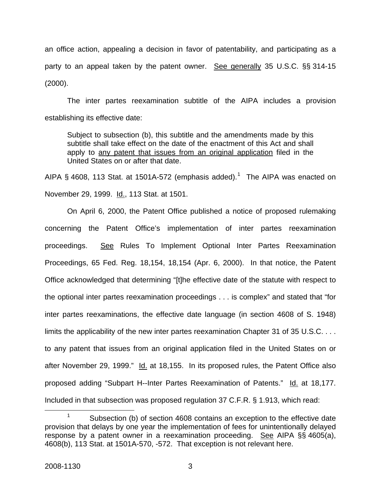an office action, appealing a decision in favor of patentability, and participating as a party to an appeal taken by the patent owner. See generally 35 U.S.C. §§ 314-15 (2000).

The inter partes reexamination subtitle of the AIPA includes a provision establishing its effective date:

Subject to subsection (b), this subtitle and the amendments made by this subtitle shall take effect on the date of the enactment of this Act and shall apply to any patent that issues from an original application filed in the United States on or after that date.

AIPA § 4608, [1](#page-3-0)13 Stat. at 1501A-572 (emphasis added).<sup>1</sup> The AIPA was enacted on November 29, 1999. Id., 113 Stat. at 1501.

On April 6, 2000, the Patent Office published a notice of proposed rulemaking concerning the Patent Office's implementation of inter partes reexamination proceedings. See Rules To Implement Optional Inter Partes Reexamination Proceedings, 65 Fed. Reg. 18,154, 18,154 (Apr. 6, 2000). In that notice, the Patent Office acknowledged that determining "[t]he effective date of the statute with respect to the optional inter partes reexamination proceedings . . . is complex" and stated that "for inter partes reexaminations, the effective date language (in section 4608 of S. 1948) limits the applicability of the new inter partes reexamination Chapter 31 of 35 U.S.C. . . . to any patent that issues from an original application filed in the United States on or after November 29, 1999." Id. at 18,155. In its proposed rules, the Patent Office also proposed adding "Subpart H--Inter Partes Reexamination of Patents." Id. at 18,177. Included in that subsection was proposed regulation 37 C.F.R. § 1.913, which read:

<span id="page-3-0"></span> <sup>1</sup>  $1$  Subsection (b) of section 4608 contains an exception to the effective date provision that delays by one year the implementation of fees for unintentionally delayed response by a patent owner in a reexamination proceeding. See AIPA §§ 4605(a), 4608(b), 113 Stat. at 1501A-570, -572. That exception is not relevant here.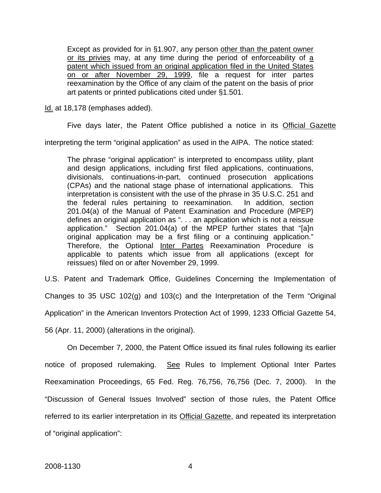Except as provided for in §1.907, any person other than the patent owner or its privies may, at any time during the period of enforceability of a patent which issued from an original application filed in the United States on or after November 29, 1999, file a request for inter partes reexamination by the Office of any claim of the patent on the basis of prior art patents or printed publications cited under §1.501.

Id. at 18,178 (emphases added).

Five days later, the Patent Office published a notice in its Official Gazette

interpreting the term "original application" as used in the AIPA. The notice stated:

The phrase "original application" is interpreted to encompass utility, plant and design applications, including first filed applications, continuations, divisionals, continuations-in-part, continued prosecution applications (CPAs) and the national stage phase of international applications. This interpretation is consistent with the use of the phrase in 35 U.S.C. 251 and the federal rules pertaining to reexamination. In addition, section 201.04(a) of the Manual of Patent Examination and Procedure (MPEP) defines an original application as ". . . an application which is not a reissue application." Section 201.04(a) of the MPEP further states that "[a]n original application may be a first filing or a continuing application." Therefore, the Optional Inter Partes Reexamination Procedure is applicable to patents which issue from all applications (except for reissues) filed on or after November 29, 1999.

U.S. Patent and Trademark Office, Guidelines Concerning the Implementation of Changes to 35 USC 102(g) and 103(c) and the Interpretation of the Term "Original Application" in the American Inventors Protection Act of 1999, 1233 Official Gazette 54, 56 (Apr. 11, 2000) (alterations in the original).

On December 7, 2000, the Patent Office issued its final rules following its earlier notice of proposed rulemaking. See Rules to Implement Optional Inter Partes Reexamination Proceedings, 65 Fed. Reg. 76,756, 76,756 (Dec. 7, 2000). In the "Discussion of General Issues Involved" section of those rules, the Patent Office referred to its earlier interpretation in its Official Gazette, and repeated its interpretation of "original application":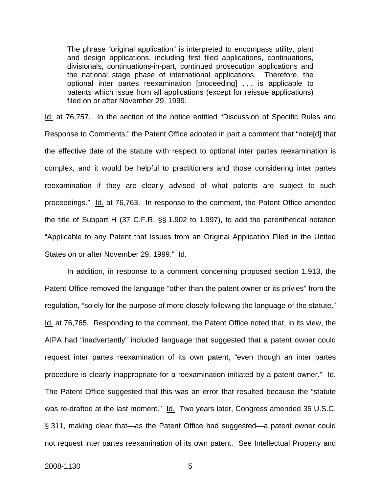The phrase "original application" is interpreted to encompass utility, plant and design applications, including first filed applications, continuations, divisionals, continuations-in-part, continued prosecution applications and the national stage phase of international applications. Therefore, the optional inter partes reexamination [proceeding] . . . is applicable to patents which issue from all applications (except for reissue applications) filed on or after November 29, 1999.

Id. at 76,757. In the section of the notice entitled "Discussion of Specific Rules and Response to Comments," the Patent Office adopted in part a comment that "note[d] that the effective date of the statute with respect to optional inter partes reexamination is complex, and it would be helpful to practitioners and those considering inter partes reexamination if they are clearly advised of what patents are subject to such proceedings." Id. at 76,763. In response to the comment, the Patent Office amended the title of Subpart H (37 C.F.R. §§ 1.902 to 1.997), to add the parenthetical notation "Applicable to any Patent that Issues from an Original Application Filed in the United States on or after November 29, 1999." Id.

In addition, in response to a comment concerning proposed section 1.913, the Patent Office removed the language "other than the patent owner or its privies" from the regulation, "solely for the purpose of more closely following the language of the statute." Id. at 76,765. Responding to the comment, the Patent Office noted that, in its view, the AIPA had "inadvertently" included language that suggested that a patent owner could request inter partes reexamination of its own patent, "even though an inter partes procedure is clearly inappropriate for a reexamination initiated by a patent owner." Id. The Patent Office suggested that this was an error that resulted because the "statute was re-drafted at the last moment." Id. Two years later, Congress amended 35 U.S.C. § 311, making clear that—as the Patent Office had suggested—a patent owner could not request inter partes reexamination of its own patent. See Intellectual Property and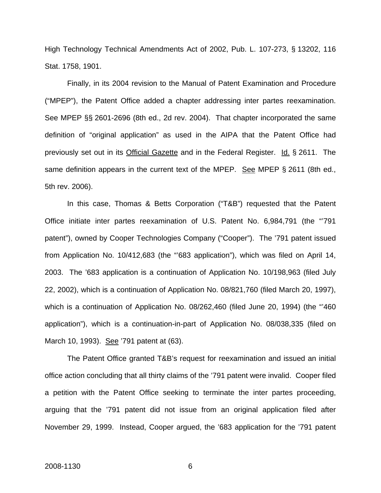High Technology Technical Amendments Act of 2002, Pub. L. 107-273, § 13202, 116 Stat. 1758, 1901.

Finally, in its 2004 revision to the Manual of Patent Examination and Procedure ("MPEP"), the Patent Office added a chapter addressing inter partes reexamination. See MPEP §§ 2601-2696 (8th ed., 2d rev. 2004). That chapter incorporated the same definition of "original application" as used in the AIPA that the Patent Office had previously set out in its Official Gazette and in the Federal Register. Id. § 2611. The same definition appears in the current text of the MPEP. See MPEP § 2611 (8th ed., 5th rev. 2006).

In this case, Thomas & Betts Corporation ("T&B") requested that the Patent Office initiate inter partes reexamination of U.S. Patent No. 6,984,791 (the "'791 patent"), owned by Cooper Technologies Company ("Cooper"). The '791 patent issued from Application No. 10/412,683 (the "'683 application"), which was filed on April 14, 2003. The '683 application is a continuation of Application No. 10/198,963 (filed July 22, 2002), which is a continuation of Application No. 08/821,760 (filed March 20, 1997), which is a continuation of Application No. 08/262,460 (filed June 20, 1994) (the "'460 application"), which is a continuation-in-part of Application No. 08/038,335 (filed on March 10, 1993). See '791 patent at (63).

The Patent Office granted T&B's request for reexamination and issued an initial office action concluding that all thirty claims of the '791 patent were invalid. Cooper filed a petition with the Patent Office seeking to terminate the inter partes proceeding, arguing that the '791 patent did not issue from an original application filed after November 29, 1999. Instead, Cooper argued, the '683 application for the '791 patent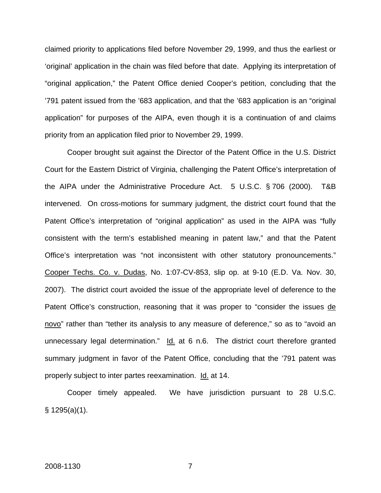claimed priority to applications filed before November 29, 1999, and thus the earliest or 'original' application in the chain was filed before that date. Applying its interpretation of "original application," the Patent Office denied Cooper's petition, concluding that the '791 patent issued from the '683 application, and that the '683 application is an "original application" for purposes of the AIPA, even though it is a continuation of and claims priority from an application filed prior to November 29, 1999.

Cooper brought suit against the Director of the Patent Office in the U.S. District Court for the Eastern District of Virginia, challenging the Patent Office's interpretation of the AIPA under the Administrative Procedure Act. 5 U.S.C. § 706 (2000). T&B intervened. On cross-motions for summary judgment, the district court found that the Patent Office's interpretation of "original application" as used in the AIPA was "fully consistent with the term's established meaning in patent law," and that the Patent Office's interpretation was "not inconsistent with other statutory pronouncements." Cooper Techs. Co. v. Dudas, No. 1:07-CV-853, slip op. at 9-10 (E.D. Va. Nov. 30, 2007). The district court avoided the issue of the appropriate level of deference to the Patent Office's construction, reasoning that it was proper to "consider the issues de novo" rather than "tether its analysis to any measure of deference," so as to "avoid an unnecessary legal determination." Id. at 6 n.6. The district court therefore granted summary judgment in favor of the Patent Office, concluding that the '791 patent was properly subject to inter partes reexamination. Id. at 14.

Cooper timely appealed. We have jurisdiction pursuant to 28 U.S.C. § 1295(a)(1).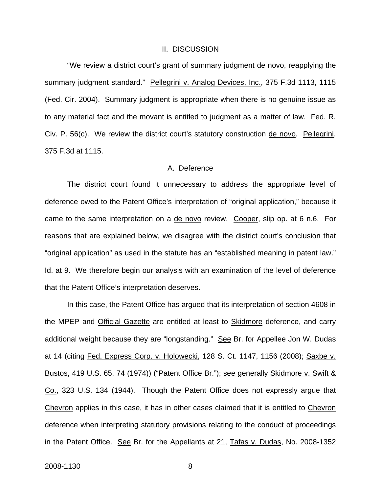### II. DISCUSSION

"We review a district court's grant of summary judgment de novo, reapplying the summary judgment standard." Pellegrini v. Analog Devices, Inc., 375 F.3d 1113, 1115 (Fed. Cir. 2004). Summary judgment is appropriate when there is no genuine issue as to any material fact and the movant is entitled to judgment as a matter of law. Fed. R. Civ. P. 56(c). We review the district court's statutory construction de novo. Pellegrini, 375 F.3d at 1115.

## A. Deference

The district court found it unnecessary to address the appropriate level of deference owed to the Patent Office's interpretation of "original application," because it came to the same interpretation on a de novo review. Cooper, slip op. at 6 n.6. For reasons that are explained below, we disagree with the district court's conclusion that "original application" as used in the statute has an "established meaning in patent law." Id. at 9. We therefore begin our analysis with an examination of the level of deference that the Patent Office's interpretation deserves.

In this case, the Patent Office has argued that its interpretation of section 4608 in the MPEP and Official Gazette are entitled at least to Skidmore deference, and carry additional weight because they are "longstanding." See Br. for Appellee Jon W. Dudas at 14 (citing Fed. Express Corp. v. Holowecki, 128 S. Ct. 1147, 1156 (2008); Saxbe v. Bustos, 419 U.S. 65, 74 (1974)) ("Patent Office Br."); see generally Skidmore v. Swift & Co., 323 U.S. 134 (1944). Though the Patent Office does not expressly argue that Chevron applies in this case, it has in other cases claimed that it is entitled to Chevron deference when interpreting statutory provisions relating to the conduct of proceedings in the Patent Office. See Br. for the Appellants at 21, Tafas v. Dudas, No. 2008-1352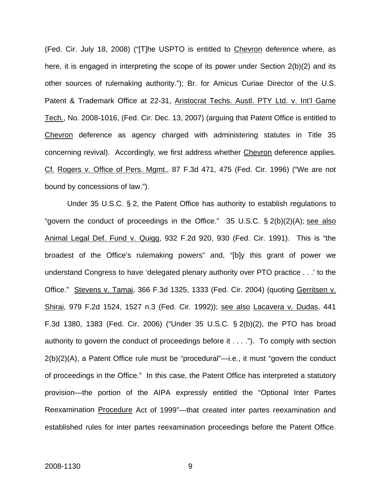(Fed. Cir. July 18, 2008) ("[T]he USPTO is entitled to Chevron deference where, as here, it is engaged in interpreting the scope of its power under Section 2(b)(2) and its other sources of rulemaking authority."); Br. for Amicus Curiae Director of the U.S. Patent & Trademark Office at 22-31, Aristocrat Techs. Austl. PTY Ltd. v. Int'l Game Tech., No. 2008-1016, (Fed. Cir. Dec. 13, 2007) (arguing that Patent Office is entitled to Chevron deference as agency charged with administering statutes in Title 35 concerning revival). Accordingly, we first address whether Chevron deference applies. Cf. Rogers v. Office of Pers. Mgmt., 87 F.3d 471, 475 (Fed. Cir. 1996) ("We are not bound by concessions of law.").

Under 35 U.S.C. § 2, the Patent Office has authority to establish regulations to "govern the conduct of proceedings in the Office." 35 U.S.C.  $\S 2(b)(2)(A)$ ; see also Animal Legal Def. Fund v. Quigg, 932 F.2d 920, 930 (Fed. Cir. 1991). This is "the broadest of the Office's rulemaking powers" and, "[b]y this grant of power we understand Congress to have 'delegated plenary authority over PTO practice . . .' to the Office." Stevens v. Tamai, 366 F.3d 1325, 1333 (Fed. Cir. 2004) (quoting Gerritsen v. Shirai, 979 F.2d 1524, 1527 n.3 (Fed. Cir. 1992)); see also Lacavera v. Dudas, 441 F.3d 1380, 1383 (Fed. Cir. 2006) ("Under 35 U.S.C. § 2(b)(2), the PTO has broad authority to govern the conduct of proceedings before it . . . ."). To comply with section 2(b)(2)(A), a Patent Office rule must be "procedural"—i.e., it must "govern the conduct of proceedings in the Office." In this case, the Patent Office has interpreted a statutory provision—the portion of the AIPA expressly entitled the "Optional Inter Partes Reexamination Procedure Act of 1999"—that created inter partes reexamination and established rules for inter partes reexamination proceedings before the Patent Office.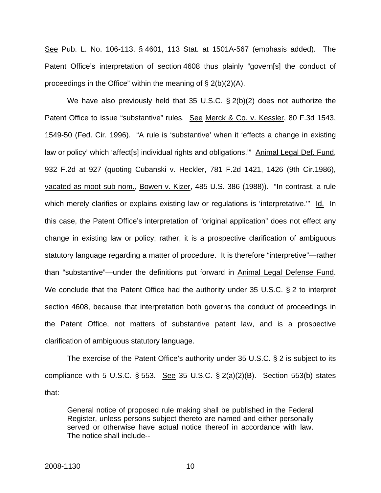See Pub. L. No. 106-113, § 4601, 113 Stat. at 1501A-567 (emphasis added). The Patent Office's interpretation of section 4608 thus plainly "govern[s] the conduct of proceedings in the Office" within the meaning of § 2(b)(2)(A).

We have also previously held that 35 U.S.C. § 2(b)(2) does not authorize the Patent Office to issue "substantive" rules. See Merck & Co. v. Kessler, 80 F.3d 1543, 1549-50 (Fed. Cir. 1996). "A rule is 'substantive' when it 'effects a change in existing law or policy' which 'affect[s] individual rights and obligations.'" Animal Legal Def. Fund, 932 F.2d at 927 (quoting Cubanski v. Heckler, 781 F.2d 1421, 1426 (9th Cir.1986), vacated as moot sub nom., Bowen v. Kizer, 485 U.S. 386 (1988)). "In contrast, a rule which merely clarifies or explains existing law or regulations is 'interpretative." Id. In this case, the Patent Office's interpretation of "original application" does not effect any change in existing law or policy; rather, it is a prospective clarification of ambiguous statutory language regarding a matter of procedure. It is therefore "interpretive"—rather than "substantive"—under the definitions put forward in Animal Legal Defense Fund. We conclude that the Patent Office had the authority under 35 U.S.C. § 2 to interpret section 4608, because that interpretation both governs the conduct of proceedings in the Patent Office, not matters of substantive patent law, and is a prospective clarification of ambiguous statutory language.

The exercise of the Patent Office's authority under 35 U.S.C. § 2 is subject to its compliance with 5 U.S.C.  $\S$  553. See 35 U.S.C.  $\S$  2(a)(2)(B). Section 553(b) states that:

General notice of proposed rule making shall be published in the Federal Register, unless persons subject thereto are named and either personally served or otherwise have actual notice thereof in accordance with law. The notice shall include--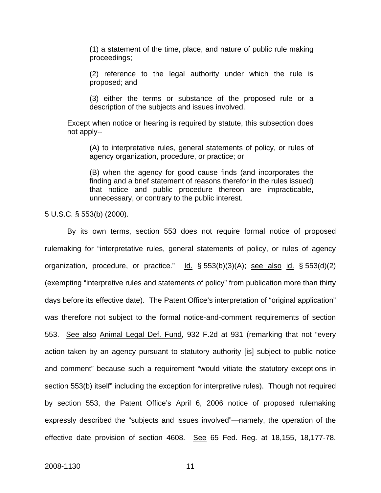(1) a statement of the time, place, and nature of public rule making proceedings;

(2) reference to the legal authority under which the rule is proposed; and

(3) either the terms or substance of the proposed rule or a description of the subjects and issues involved.

Except when notice or hearing is required by statute, this subsection does not apply--

(A) to interpretative rules, general statements of policy, or rules of agency organization, procedure, or practice; or

(B) when the agency for good cause finds (and incorporates the finding and a brief statement of reasons therefor in the rules issued) that notice and public procedure thereon are impracticable, unnecessary, or contrary to the public interest.

5 U.S.C. § 553(b) (2000).

By its own terms, section 553 does not require formal notice of proposed rulemaking for "interpretative rules, general statements of policy, or rules of agency organization, procedure, or practice."  $\underline{Id.}$  § 553(b)(3)(A); see also id. § 553(d)(2) (exempting "interpretive rules and statements of policy" from publication more than thirty days before its effective date). The Patent Office's interpretation of "original application" was therefore not subject to the formal notice-and-comment requirements of section 553. See also Animal Legal Def. Fund, 932 F.2d at 931 (remarking that not "every action taken by an agency pursuant to statutory authority [is] subject to public notice and comment" because such a requirement "would vitiate the statutory exceptions in section 553(b) itself" including the exception for interpretive rules). Though not required by section 553, the Patent Office's April 6, 2006 notice of proposed rulemaking expressly described the "subjects and issues involved"—namely, the operation of the effective date provision of section 4608. See 65 Fed. Reg. at 18,155, 18,177-78.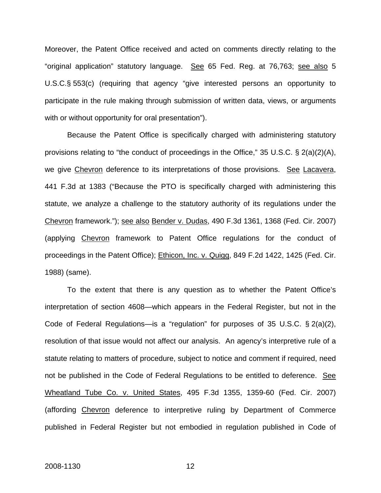Moreover, the Patent Office received and acted on comments directly relating to the "original application" statutory language. See 65 Fed. Reg. at 76,763; see also 5 U.S.C.§ 553(c) (requiring that agency "give interested persons an opportunity to participate in the rule making through submission of written data, views, or arguments with or without opportunity for oral presentation").

Because the Patent Office is specifically charged with administering statutory provisions relating to "the conduct of proceedings in the Office," 35 U.S.C. § 2(a)(2)(A), we give Chevron deference to its interpretations of those provisions. See Lacavera, 441 F.3d at 1383 ("Because the PTO is specifically charged with administering this statute, we analyze a challenge to the statutory authority of its regulations under the Chevron framework."); see also Bender v. Dudas, 490 F.3d 1361, 1368 (Fed. Cir. 2007) (applying Chevron framework to Patent Office regulations for the conduct of proceedings in the Patent Office); Ethicon, Inc. v. Quigg, 849 F.2d 1422, 1425 (Fed. Cir. 1988) (same).

To the extent that there is any question as to whether the Patent Office's interpretation of section 4608—which appears in the Federal Register, but not in the Code of Federal Regulations—is a "regulation" for purposes of 35 U.S.C. § 2(a)(2), resolution of that issue would not affect our analysis. An agency's interpretive rule of a statute relating to matters of procedure, subject to notice and comment if required, need not be published in the Code of Federal Regulations to be entitled to deference. See Wheatland Tube Co. v. United States, 495 F.3d 1355, 1359-60 (Fed. Cir. 2007) (affording Chevron deference to interpretive ruling by Department of Commerce published in Federal Register but not embodied in regulation published in Code of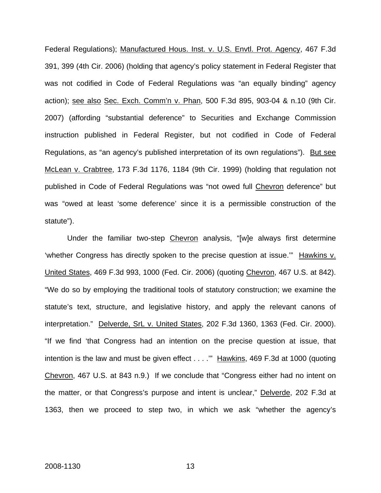Federal Regulations); Manufactured Hous. Inst. v. U.S. Envtl. Prot. Agency, 467 F.3d 391, 399 (4th Cir. 2006) (holding that agency's policy statement in Federal Register that was not codified in Code of Federal Regulations was "an equally binding" agency action); see also Sec. Exch. Comm'n v. Phan, 500 F.3d 895, 903-04 & n.10 (9th Cir. 2007) (affording "substantial deference" to Securities and Exchange Commission instruction published in Federal Register, but not codified in Code of Federal Regulations, as "an agency's published interpretation of its own regulations"). But see McLean v. Crabtree, 173 F.3d 1176, 1184 (9th Cir. 1999) (holding that regulation not published in Code of Federal Regulations was "not owed full Chevron deference" but was "owed at least 'some deference' since it is a permissible construction of the statute").

Under the familiar two-step Chevron analysis, "[w]e always first determine 'whether Congress has directly spoken to the precise question at issue.'" Hawkins v. United States, 469 F.3d 993, 1000 (Fed. Cir. 2006) (quoting Chevron, 467 U.S. at 842). "We do so by employing the traditional tools of statutory construction; we examine the statute's text, structure, and legislative history, and apply the relevant canons of interpretation." Delverde, SrL v. United States, 202 F.3d 1360, 1363 (Fed. Cir. 2000). "If we find 'that Congress had an intention on the precise question at issue, that intention is the law and must be given effect . . . ." Hawkins, 469 F.3d at 1000 (quoting Chevron, 467 U.S. at 843 n.9.) If we conclude that "Congress either had no intent on the matter, or that Congress's purpose and intent is unclear," Delverde, 202 F.3d at 1363, then we proceed to step two, in which we ask "whether the agency's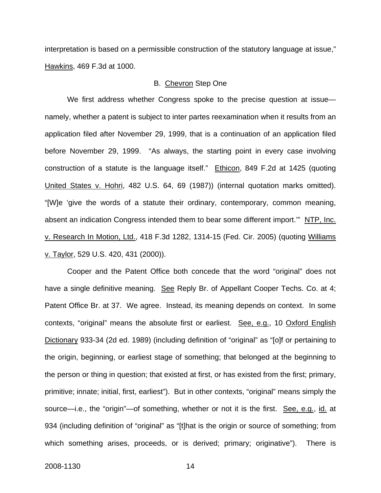interpretation is based on a permissible construction of the statutory language at issue," Hawkins, 469 F.3d at 1000.

## B. Chevron Step One

We first address whether Congress spoke to the precise question at issue namely, whether a patent is subject to inter partes reexamination when it results from an application filed after November 29, 1999, that is a continuation of an application filed before November 29, 1999. "As always, the starting point in every case involving construction of a statute is the language itself." Ethicon, 849 F.2d at 1425 (quoting United States v. Hohri, 482 U.S. 64, 69 (1987)) (internal quotation marks omitted). "[W]e 'give the words of a statute their ordinary, contemporary, common meaning, absent an indication Congress intended them to bear some different import.'" NTP, Inc. v. Research In Motion, Ltd., 418 F.3d 1282, 1314-15 (Fed. Cir. 2005) (quoting Williams v. Taylor, 529 U.S. 420, 431 (2000)).

Cooper and the Patent Office both concede that the word "original" does not have a single definitive meaning. See Reply Br. of Appellant Cooper Techs. Co. at 4; Patent Office Br. at 37. We agree. Instead, its meaning depends on context. In some contexts, "original" means the absolute first or earliest. See, e.g., 10 Oxford English Dictionary 933-34 (2d ed. 1989) (including definition of "original" as "[o]f or pertaining to the origin, beginning, or earliest stage of something; that belonged at the beginning to the person or thing in question; that existed at first, or has existed from the first; primary, primitive; innate; initial, first, earliest"). But in other contexts, "original" means simply the source—i.e., the "origin"—of something, whether or not it is the first. See, e.g., id. at 934 (including definition of "original" as "[t]hat is the origin or source of something; from which something arises, proceeds, or is derived; primary; originative"). There is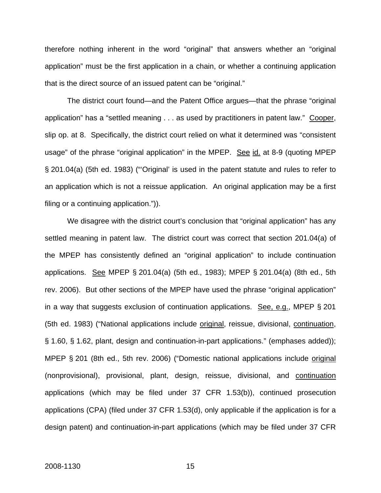therefore nothing inherent in the word "original" that answers whether an "original application" must be the first application in a chain, or whether a continuing application that is the direct source of an issued patent can be "original."

The district court found—and the Patent Office argues—that the phrase "original application" has a "settled meaning . . . as used by practitioners in patent law." Cooper, slip op. at 8. Specifically, the district court relied on what it determined was "consistent usage" of the phrase "original application" in the MPEP. See id. at 8-9 (quoting MPEP § 201.04(a) (5th ed. 1983) ("'Original' is used in the patent statute and rules to refer to an application which is not a reissue application. An original application may be a first filing or a continuing application.")).

We disagree with the district court's conclusion that "original application" has any settled meaning in patent law. The district court was correct that section 201.04(a) of the MPEP has consistently defined an "original application" to include continuation applications. See MPEP § 201.04(a) (5th ed., 1983); MPEP § 201.04(a) (8th ed., 5th rev. 2006). But other sections of the MPEP have used the phrase "original application" in a way that suggests exclusion of continuation applications. See, e.g., MPEP § 201 (5th ed. 1983) ("National applications include original, reissue, divisional, continuation, § 1.60, § 1.62, plant, design and continuation-in-part applications." (emphases added)); MPEP § 201 (8th ed., 5th rev. 2006) ("Domestic national applications include original (nonprovisional), provisional, plant, design, reissue, divisional, and continuation applications (which may be filed under 37 CFR 1.53(b)), continued prosecution applications (CPA) (filed under 37 CFR 1.53(d), only applicable if the application is for a design patent) and continuation-in-part applications (which may be filed under 37 CFR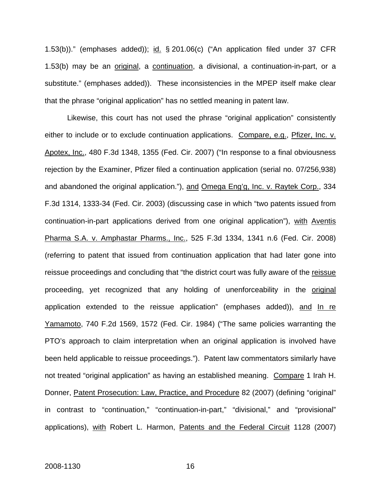1.53(b))." (emphases added)); id. § 201.06(c) ("An application filed under 37 CFR 1.53(b) may be an original, a continuation, a divisional, a continuation-in-part, or a substitute." (emphases added)). These inconsistencies in the MPEP itself make clear that the phrase "original application" has no settled meaning in patent law.

Likewise, this court has not used the phrase "original application" consistently either to include or to exclude continuation applications. Compare, e.g., Pfizer, Inc. v. Apotex, Inc., 480 F.3d 1348, 1355 (Fed. Cir. 2007) ("In response to a final obviousness rejection by the Examiner, Pfizer filed a continuation application (serial no. 07/256,938) and abandoned the original application."), and Omega Eng'g, Inc. v. Raytek Corp., 334 F.3d 1314, 1333-34 (Fed. Cir. 2003) (discussing case in which "two patents issued from continuation-in-part applications derived from one original application"), with Aventis Pharma S.A. v. Amphastar Pharms., Inc., 525 F.3d 1334, 1341 n.6 (Fed. Cir. 2008) (referring to patent that issued from continuation application that had later gone into reissue proceedings and concluding that "the district court was fully aware of the reissue proceeding, yet recognized that any holding of unenforceability in the original application extended to the reissue application" (emphases added)), and In re Yamamoto, 740 F.2d 1569, 1572 (Fed. Cir. 1984) ("The same policies warranting the PTO's approach to claim interpretation when an original application is involved have been held applicable to reissue proceedings."). Patent law commentators similarly have not treated "original application" as having an established meaning. Compare 1 Irah H. Donner, Patent Prosecution: Law, Practice, and Procedure 82 (2007) (defining "original" in contrast to "continuation," "continuation-in-part," "divisional," and "provisional" applications), with Robert L. Harmon, Patents and the Federal Circuit 1128 (2007)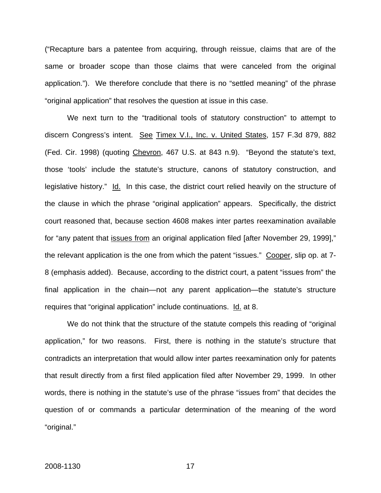("Recapture bars a patentee from acquiring, through reissue, claims that are of the same or broader scope than those claims that were canceled from the original application."). We therefore conclude that there is no "settled meaning" of the phrase "original application" that resolves the question at issue in this case.

We next turn to the "traditional tools of statutory construction" to attempt to discern Congress's intent. See Timex V.I., Inc. v. United States, 157 F.3d 879, 882 (Fed. Cir. 1998) (quoting Chevron, 467 U.S. at 843 n.9). "Beyond the statute's text, those 'tools' include the statute's structure, canons of statutory construction, and legislative history." Id. In this case, the district court relied heavily on the structure of the clause in which the phrase "original application" appears. Specifically, the district court reasoned that, because section 4608 makes inter partes reexamination available for "any patent that issues from an original application filed [after November 29, 1999]," the relevant application is the one from which the patent "issues." Cooper, slip op. at 7- 8 (emphasis added). Because, according to the district court, a patent "issues from" the final application in the chain—not any parent application—the statute's structure requires that "original application" include continuations. Id. at 8.

We do not think that the structure of the statute compels this reading of "original application," for two reasons. First, there is nothing in the statute's structure that contradicts an interpretation that would allow inter partes reexamination only for patents that result directly from a first filed application filed after November 29, 1999. In other words, there is nothing in the statute's use of the phrase "issues from" that decides the question of or commands a particular determination of the meaning of the word "original."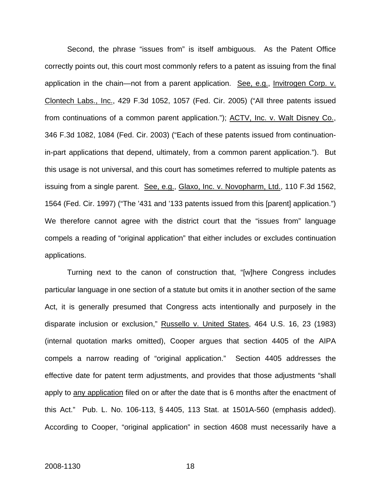Second, the phrase "issues from" is itself ambiguous. As the Patent Office correctly points out, this court most commonly refers to a patent as issuing from the final application in the chain—not from a parent application. See, e.g., Invitrogen Corp. v. Clontech Labs., Inc., 429 F.3d 1052, 1057 (Fed. Cir. 2005) ("All three patents issued from continuations of a common parent application."); ACTV, Inc. v. Walt Disney Co., 346 F.3d 1082, 1084 (Fed. Cir. 2003) ("Each of these patents issued from continuationin-part applications that depend, ultimately, from a common parent application."). But this usage is not universal, and this court has sometimes referred to multiple patents as issuing from a single parent. See, e.g., Glaxo, Inc. v. Novopharm, Ltd., 110 F.3d 1562, 1564 (Fed. Cir. 1997) ("The '431 and '133 patents issued from this [parent] application.") We therefore cannot agree with the district court that the "issues from" language compels a reading of "original application" that either includes or excludes continuation applications.

Turning next to the canon of construction that, "[w]here Congress includes particular language in one section of a statute but omits it in another section of the same Act, it is generally presumed that Congress acts intentionally and purposely in the disparate inclusion or exclusion," Russello v. United States, 464 U.S. 16, 23 (1983) (internal quotation marks omitted), Cooper argues that section 4405 of the AIPA compels a narrow reading of "original application." Section 4405 addresses the effective date for patent term adjustments, and provides that those adjustments "shall apply to any application filed on or after the date that is 6 months after the enactment of this Act." Pub. L. No. 106-113, § 4405, 113 Stat. at 1501A-560 (emphasis added). According to Cooper, "original application" in section 4608 must necessarily have a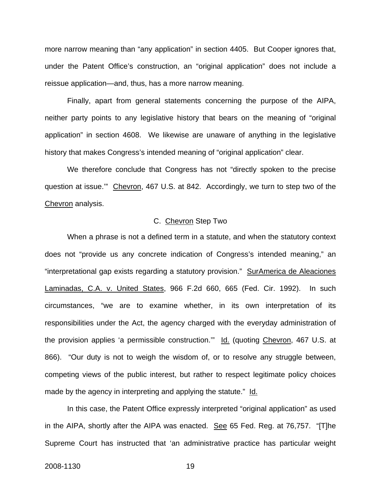more narrow meaning than "any application" in section 4405. But Cooper ignores that, under the Patent Office's construction, an "original application" does not include a reissue application—and, thus, has a more narrow meaning.

Finally, apart from general statements concerning the purpose of the AIPA, neither party points to any legislative history that bears on the meaning of "original application" in section 4608. We likewise are unaware of anything in the legislative history that makes Congress's intended meaning of "original application" clear.

We therefore conclude that Congress has not "directly spoken to the precise question at issue." Chevron, 467 U.S. at 842. Accordingly, we turn to step two of the Chevron analysis.

## C. Chevron Step Two

When a phrase is not a defined term in a statute, and when the statutory context does not "provide us any concrete indication of Congress's intended meaning," an "interpretational gap exists regarding a statutory provision." SurAmerica de Aleaciones Laminadas, C.A. v. United States, 966 F.2d 660, 665 (Fed. Cir. 1992). In such circumstances, "we are to examine whether, in its own interpretation of its responsibilities under the Act, the agency charged with the everyday administration of the provision applies 'a permissible construction.'" Id. (quoting Chevron, 467 U.S. at 866). "Our duty is not to weigh the wisdom of, or to resolve any struggle between, competing views of the public interest, but rather to respect legitimate policy choices made by the agency in interpreting and applying the statute." Id.

In this case, the Patent Office expressly interpreted "original application" as used in the AIPA, shortly after the AIPA was enacted. See 65 Fed. Reg. at 76,757. "[T]he Supreme Court has instructed that 'an administrative practice has particular weight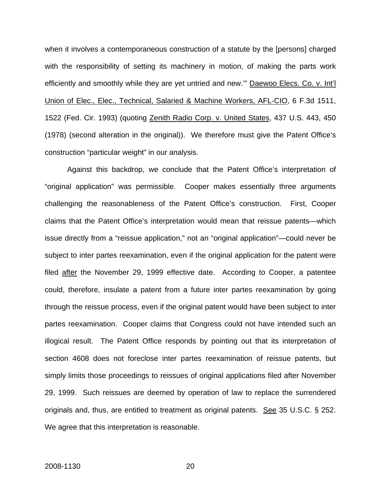when it involves a contemporaneous construction of a statute by the [persons] charged with the responsibility of setting its machinery in motion, of making the parts work efficiently and smoothly while they are yet untried and new."" Daewoo Elecs. Co. v. Int'l Union of Elec., Elec., Technical, Salaried & Machine Workers, AFL-CIO, 6 F.3d 1511, 1522 (Fed. Cir. 1993) (quoting Zenith Radio Corp. v. United States, 437 U.S. 443, 450 (1978) (second alteration in the original)). We therefore must give the Patent Office's construction "particular weight" in our analysis.

Against this backdrop, we conclude that the Patent Office's interpretation of "original application" was permissible. Cooper makes essentially three arguments challenging the reasonableness of the Patent Office's construction. First, Cooper claims that the Patent Office's interpretation would mean that reissue patents—which issue directly from a "reissue application," not an "original application"—could never be subject to inter partes reexamination, even if the original application for the patent were filed after the November 29, 1999 effective date. According to Cooper, a patentee could, therefore, insulate a patent from a future inter partes reexamination by going through the reissue process, even if the original patent would have been subject to inter partes reexamination. Cooper claims that Congress could not have intended such an illogical result. The Patent Office responds by pointing out that its interpretation of section 4608 does not foreclose inter partes reexamination of reissue patents, but simply limits those proceedings to reissues of original applications filed after November 29, 1999. Such reissues are deemed by operation of law to replace the surrendered originals and, thus, are entitled to treatment as original patents. See 35 U.S.C. § 252. We agree that this interpretation is reasonable.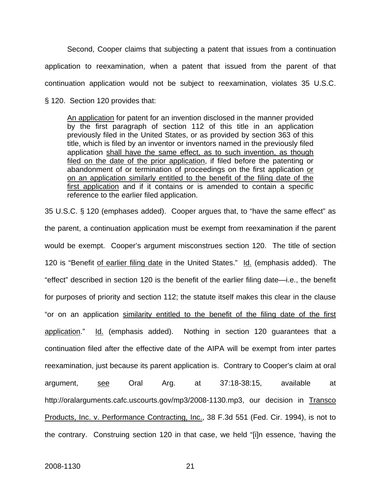Second, Cooper claims that subjecting a patent that issues from a continuation application to reexamination, when a patent that issued from the parent of that continuation application would not be subject to reexamination, violates 35 U.S.C. § 120. Section 120 provides that:

An application for patent for an invention disclosed in the manner provided by the first paragraph of section 112 of this title in an application previously filed in the United States, or as provided by section 363 of this title, which is filed by an inventor or inventors named in the previously filed application shall have the same effect, as to such invention, as though filed on the date of the prior application, if filed before the patenting or abandonment of or termination of proceedings on the first application or on an application similarly entitled to the benefit of the filing date of the first application and if it contains or is amended to contain a specific reference to the earlier filed application.

35 U.S.C. § 120 (emphases added). Cooper argues that, to "have the same effect" as the parent, a continuation application must be exempt from reexamination if the parent would be exempt. Cooper's argument misconstrues section 120. The title of section 120 is "Benefit of earlier filing date in the United States." Id. (emphasis added). The "effect" described in section 120 is the benefit of the earlier filing date—i.e., the benefit for purposes of priority and section 112; the statute itself makes this clear in the clause "or on an application similarity entitled to the benefit of the filing date of the first application." Id. (emphasis added). Nothing in section 120 guarantees that a continuation filed after the effective date of the AIPA will be exempt from inter partes reexamination, just because its parent application is. Contrary to Cooper's claim at oral argument, see Oral Arg. at 37:18-38:15, available at http://oralarguments.cafc.uscourts.gov/mp3/2008-1130.mp3, our decision in Transco Products, Inc. v. Performance Contracting, Inc., 38 F.3d 551 (Fed. Cir. 1994), is not to the contrary. Construing section 120 in that case, we held "[i]n essence, 'having the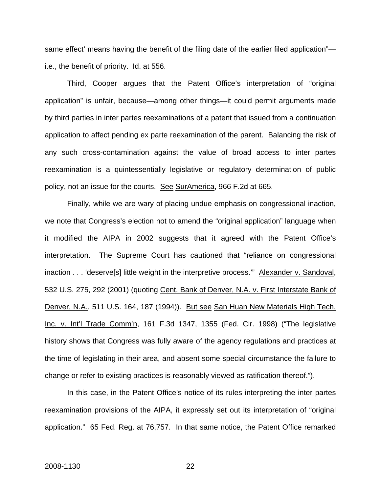same effect' means having the benefit of the filing date of the earlier filed application" i.e., the benefit of priority. Id. at 556.

Third, Cooper argues that the Patent Office's interpretation of "original application" is unfair, because—among other things—it could permit arguments made by third parties in inter partes reexaminations of a patent that issued from a continuation application to affect pending ex parte reexamination of the parent. Balancing the risk of any such cross-contamination against the value of broad access to inter partes reexamination is a quintessentially legislative or regulatory determination of public policy, not an issue for the courts. See SurAmerica, 966 F.2d at 665.

Finally, while we are wary of placing undue emphasis on congressional inaction, we note that Congress's election not to amend the "original application" language when it modified the AIPA in 2002 suggests that it agreed with the Patent Office's interpretation. The Supreme Court has cautioned that "reliance on congressional inaction . . . 'deserve<sup>[5]</sup> little weight in the interpretive process." Alexander v. Sandoval, 532 U.S. 275, 292 (2001) (quoting Cent. Bank of Denver, N.A. v. First Interstate Bank of Denver, N.A., 511 U.S. 164, 187 (1994)). But see San Huan New Materials High Tech, Inc. v. Int'l Trade Comm'n, 161 F.3d 1347, 1355 (Fed. Cir. 1998) ("The legislative history shows that Congress was fully aware of the agency regulations and practices at the time of legislating in their area, and absent some special circumstance the failure to change or refer to existing practices is reasonably viewed as ratification thereof.").

In this case, in the Patent Office's notice of its rules interpreting the inter partes reexamination provisions of the AIPA, it expressly set out its interpretation of "original application." 65 Fed. Reg. at 76,757. In that same notice, the Patent Office remarked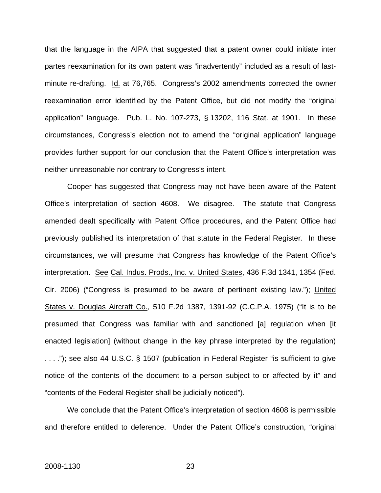that the language in the AIPA that suggested that a patent owner could initiate inter partes reexamination for its own patent was "inadvertently" included as a result of lastminute re-drafting. Id. at 76,765. Congress's 2002 amendments corrected the owner reexamination error identified by the Patent Office, but did not modify the "original application" language. Pub. L. No. 107-273, § 13202, 116 Stat. at 1901. In these circumstances, Congress's election not to amend the "original application" language provides further support for our conclusion that the Patent Office's interpretation was neither unreasonable nor contrary to Congress's intent.

Cooper has suggested that Congress may not have been aware of the Patent Office's interpretation of section 4608. We disagree. The statute that Congress amended dealt specifically with Patent Office procedures, and the Patent Office had previously published its interpretation of that statute in the Federal Register. In these circumstances, we will presume that Congress has knowledge of the Patent Office's interpretation. See Cal. Indus. Prods., Inc. v. United States, 436 F.3d 1341, 1354 (Fed. Cir. 2006) ("Congress is presumed to be aware of pertinent existing law."); United States v. Douglas Aircraft Co., 510 F.2d 1387, 1391-92 (C.C.P.A. 1975) ("It is to be presumed that Congress was familiar with and sanctioned [a] regulation when [it enacted legislation] (without change in the key phrase interpreted by the regulation) ...."); see also 44 U.S.C. § 1507 (publication in Federal Register "is sufficient to give notice of the contents of the document to a person subject to or affected by it" and "contents of the Federal Register shall be judicially noticed").

We conclude that the Patent Office's interpretation of section 4608 is permissible and therefore entitled to deference. Under the Patent Office's construction, "original